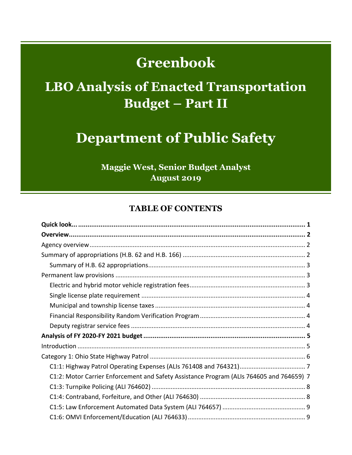# **Greenbook**

# **LBO Analysis of Enacted Transportation Budget – Part II**

# **Department of Public Safety**

**Maggie West, Senior Budget Analyst August 2019** 

## **TABLE OF CONTENTS**

| C1:2: Motor Carrier Enforcement and Safety Assistance Program (ALIs 764605 and 764659) 7 |  |
|------------------------------------------------------------------------------------------|--|
|                                                                                          |  |
|                                                                                          |  |
|                                                                                          |  |
|                                                                                          |  |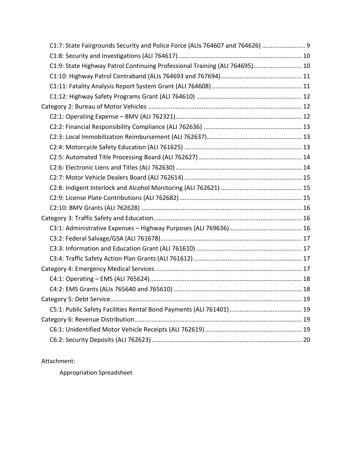| C1:7: State Fairgrounds Security and Police Force (ALIs 764607 and 764626)  9 |  |
|-------------------------------------------------------------------------------|--|
|                                                                               |  |
| C1:9: State Highway Patrol Continuing Professional Training (ALI 764695) 10   |  |
|                                                                               |  |
|                                                                               |  |
|                                                                               |  |
|                                                                               |  |
|                                                                               |  |
|                                                                               |  |
|                                                                               |  |
|                                                                               |  |
|                                                                               |  |
|                                                                               |  |
|                                                                               |  |
|                                                                               |  |
|                                                                               |  |
|                                                                               |  |
|                                                                               |  |
|                                                                               |  |
|                                                                               |  |
|                                                                               |  |
|                                                                               |  |
|                                                                               |  |
|                                                                               |  |
|                                                                               |  |
|                                                                               |  |
|                                                                               |  |
|                                                                               |  |
|                                                                               |  |
|                                                                               |  |
|                                                                               |  |

#### Attachment:

Appropriation Spreadsheet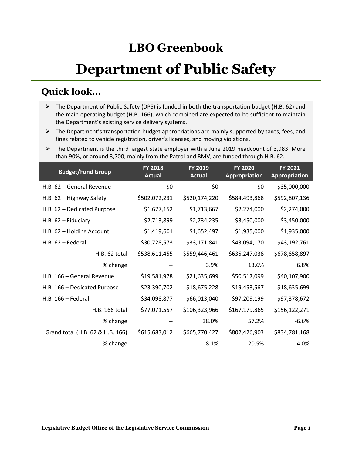## **LBO Greenbook**

# **Department of Public Safety**

## <span id="page-2-0"></span>**Quick look...**

- $\triangleright$  The Department of Public Safety (DPS) is funded in both the transportation budget (H.B. 62) and the main operating budget (H.B. 166), which combined are expected to be sufficient to maintain the Department's existing service delivery systems.
- $\triangleright$  The Department's transportation budget appropriations are mainly supported by taxes, fees, and fines related to vehicle registration, driver's licenses, and moving violations.
- $\triangleright$  The Department is the third largest state employer with a June 2019 headcount of 3,983. More than 90%, or around 3,700, mainly from the Patrol and BMV, are funded through H.B. 62.

| <b>Budget/Fund Group</b>         | <b>FY 2018</b><br><b>Actual</b> | <b>FY 2019</b><br><b>Actual</b> | <b>FY 2020</b><br><b>Appropriation</b> | <b>FY 2021</b><br><b>Appropriation</b> |
|----------------------------------|---------------------------------|---------------------------------|----------------------------------------|----------------------------------------|
| H.B. 62 - General Revenue        | \$0                             | \$0                             | \$0                                    | \$35,000,000                           |
| H.B. 62 - Highway Safety         | \$502,072,231                   | \$520,174,220                   | \$584,493,868                          | \$592,807,136                          |
| H.B. 62 - Dedicated Purpose      | \$1,677,152                     | \$1,713,667                     | \$2,274,000                            | \$2,274,000                            |
| $H.B. 62 - Fiduciary$            | \$2,713,899                     | \$2,734,235                     | \$3,450,000                            | \$3,450,000                            |
| H.B. 62 - Holding Account        | \$1,419,601                     | \$1,652,497                     | \$1,935,000                            | \$1,935,000                            |
| $H.B. 62 - Federal$              | \$30,728,573                    | \$33,171,841                    | \$43,094,170                           | \$43,192,761                           |
| H.B. 62 total                    | \$538,611,455                   | \$559,446,461                   | \$635,247,038                          | \$678,658,897                          |
| % change                         |                                 | 3.9%                            | 13.6%                                  | 6.8%                                   |
| H.B. 166 - General Revenue       | \$19,581,978                    | \$21,635,699                    | \$50,517,099                           | \$40,107,900                           |
| H.B. 166 - Dedicated Purpose     | \$23,390,702                    | \$18,675,228                    | \$19,453,567                           | \$18,635,699                           |
| $H.B. 166 - Federal$             | \$34,098,877                    | \$66,013,040                    | \$97,209,199                           | \$97,378,672                           |
| H.B. 166 total                   | \$77,071,557                    | \$106,323,966                   | \$167,179,865                          | \$156,122,271                          |
| % change                         |                                 | 38.0%                           | 57.2%                                  | $-6.6%$                                |
| Grand total (H.B. 62 & H.B. 166) | \$615,683,012                   | \$665,770,427                   | \$802,426,903                          | \$834,781,168                          |
| % change                         |                                 | 8.1%                            | 20.5%                                  | 4.0%                                   |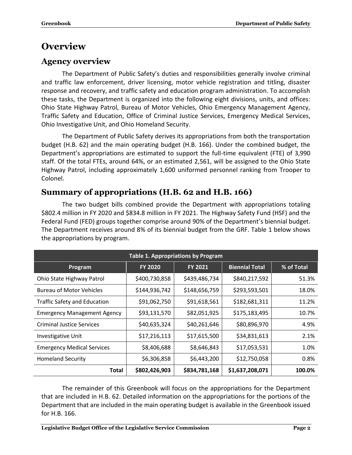## <span id="page-3-0"></span>**Overview**

## <span id="page-3-1"></span>**Agency overview**

The Department of Public Safety's duties and responsibilities generally involve criminal and traffic law enforcement, driver licensing, motor vehicle registration and titling, disaster response and recovery, and traffic safety and education program administration. To accomplish these tasks, the Department is organized into the following eight divisions, units, and offices: Ohio State Highway Patrol, Bureau of Motor Vehicles, Ohio Emergency Management Agency, Traffic Safety and Education, Office of Criminal Justice Services, Emergency Medical Services, Ohio Investigative Unit, and Ohio Homeland Security.

The Department of Public Safety derives its appropriations from both the transportation budget (H.B. 62) and the main operating budget (H.B. 166). Under the combined budget, the Department's appropriations are estimated to support the full-time equivalent (FTE) of 3,990 staff. Of the total FTEs, around 64%, or an estimated 2,561, will be assigned to the Ohio State Highway Patrol, including approximately 1,600 uniformed personnel ranking from Trooper to Colonel.

## <span id="page-3-2"></span>**Summary of appropriations (H.B. 62 and H.B. 166)**

The two budget bills combined provide the Department with appropriations totaling \$802.4 million in FY 2020 and \$834.8 million in FY 2021. The Highway Safety Fund (HSF) and the Federal Fund (FED) groups together comprise around 90% of the Department's biennial budget. The Department receives around 8% of its biennial budget from the GRF. Table 1 below shows the appropriations by program.

| <b>Table 1. Appropriations by Program</b> |                |                |                       |            |  |  |  |
|-------------------------------------------|----------------|----------------|-----------------------|------------|--|--|--|
| Program                                   | <b>FY 2020</b> | <b>FY 2021</b> | <b>Biennial Total</b> | % of Total |  |  |  |
| Ohio State Highway Patrol                 | \$400,730,858  | \$439,486,734  | \$840,217,592         | 51.3%      |  |  |  |
| <b>Bureau of Motor Vehicles</b>           | \$144,936,742  | \$148,656,759  | \$293,593,501         | 18.0%      |  |  |  |
| <b>Traffic Safety and Education</b>       | \$91,062,750   | \$91,618,561   | \$182,681,311         | 11.2%      |  |  |  |
| <b>Emergency Management Agency</b>        | \$93,131,570   | \$82,051,925   | \$175,183,495         | 10.7%      |  |  |  |
| <b>Criminal Justice Services</b>          | \$40,635,324   | \$40,261,646   | \$80,896,970          | 4.9%       |  |  |  |
| <b>Investigative Unit</b>                 | \$17,216,113   | \$17,615,500   | \$34,831,613          | 2.1%       |  |  |  |
| <b>Emergency Medical Services</b>         | \$8,406,688    | \$8,646,843    | \$17,053,531          | 1.0%       |  |  |  |
| <b>Homeland Security</b>                  | \$6,306,858    | \$6,443,200    | \$12,750,058          | 0.8%       |  |  |  |
| Total                                     | \$802,426,903  | \$834,781,168  | \$1,637,208,071       | 100.0%     |  |  |  |

The remainder of this Greenbook will focus on the appropriations for the Department that are included in H.B. 62. Detailed information on the appropriations for the portions of the Department that are included in the main operating budget is available in the Greenbook issued for H.B. 166.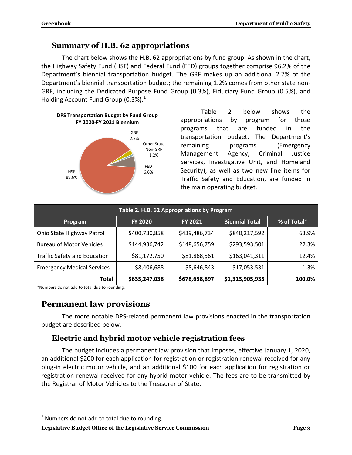#### <span id="page-4-0"></span>**Summary of H.B. 62 appropriations**

The chart below shows the H.B. 62 appropriations by fund group. As shown in the chart, the Highway Safety Fund (HSF) and Federal Fund (FED) groups together comprise 96.2% of the Department's biennial transportation budget. The GRF makes up an additional 2.7% of the Department's biennial transportation budget; the remaining 1.2% comes from other state non-GRF, including the Dedicated Purpose Fund Group (0.3%), Fiduciary Fund Group (0.5%), and Holding Account Fund Group (0.3%).<sup>1</sup>



Table 2 below shows the appropriations by program for those programs that are funded in the transportation budget. The Department's remaining programs (Emergency Management Agency, Criminal Justice Services, Investigative Unit, and Homeland Security), as well as two new line items for Traffic Safety and Education, are funded in the main operating budget.

| Table 2. H.B. 62 Appropriations by Program                                          |               |               |               |       |  |  |  |  |
|-------------------------------------------------------------------------------------|---------------|---------------|---------------|-------|--|--|--|--|
| <b>Biennial Total</b><br>% of Total*<br><b>FY 2020</b><br><b>FY 2021</b><br>Program |               |               |               |       |  |  |  |  |
| Ohio State Highway Patrol                                                           | \$400,730,858 | \$439,486,734 | \$840,217,592 | 63.9% |  |  |  |  |
| <b>Bureau of Motor Vehicles</b>                                                     | \$144,936,742 | \$148,656,759 | \$293,593,501 | 22.3% |  |  |  |  |
| <b>Traffic Safety and Education</b>                                                 | \$81,172,750  | \$81,868,561  | \$163,041,311 | 12.4% |  |  |  |  |
| <b>Emergency Medical Services</b>                                                   | \$8,406,688   | \$8,646,843   | \$17,053,531  | 1.3%  |  |  |  |  |
| \$635,247,038<br>\$1,313,905,935<br>\$678,658,897<br>Total<br>100.0%                |               |               |               |       |  |  |  |  |

\*Numbers do not add to total due to rounding.

## <span id="page-4-1"></span>**Permanent law provisions**

The more notable DPS-related permanent law provisions enacted in the transportation budget are described below.

## <span id="page-4-2"></span>**Electric and hybrid motor vehicle registration fees**

The budget includes a permanent law provision that imposes, effective January 1, 2020, an additional \$200 for each application for registration or registration renewal received for any plug-in electric motor vehicle, and an additional \$100 for each application for registration or registration renewal received for any hybrid motor vehicle. The fees are to be transmitted by the Registrar of Motor Vehicles to the Treasurer of State.

 $\overline{a}$ 

#### **Legislative Budget Office of the Legislative Service Commission Page 3**

 $1$  Numbers do not add to total due to rounding.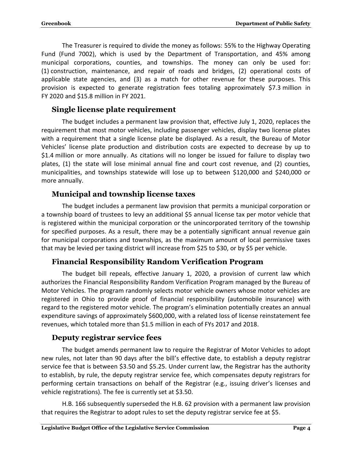The Treasurer is required to divide the money as follows: 55% to the Highway Operating Fund (Fund 7002), which is used by the Department of Transportation, and 45% among municipal corporations, counties, and townships. The money can only be used for: (1) construction, maintenance, and repair of roads and bridges, (2) operational costs of applicable state agencies, and (3) as a match for other revenue for these purposes. This provision is expected to generate registration fees totaling approximately \$7.3 million in FY 2020 and \$15.8 million in FY 2021.

## <span id="page-5-0"></span>**Single license plate requirement**

The budget includes a permanent law provision that, effective July 1, 2020, replaces the requirement that most motor vehicles, including passenger vehicles, display two license plates with a requirement that a single license plate be displayed. As a result, the Bureau of Motor Vehicles' license plate production and distribution costs are expected to decrease by up to \$1.4 million or more annually. As citations will no longer be issued for failure to display two plates, (1) the state will lose minimal annual fine and court cost revenue, and (2) counties, municipalities, and townships statewide will lose up to between \$120,000 and \$240,000 or more annually.

## <span id="page-5-1"></span>**Municipal and township license taxes**

The budget includes a permanent law provision that permits a municipal corporation or a township board of trustees to levy an additional \$5 annual license tax per motor vehicle that is registered within the municipal corporation or the unincorporated territory of the township for specified purposes. As a result, there may be a potentially significant annual revenue gain for municipal corporations and townships, as the maximum amount of local permissive taxes that may be levied per taxing district will increase from \$25 to \$30, or by \$5 per vehicle.

## <span id="page-5-2"></span>**Financial Responsibility Random Verification Program**

The budget bill repeals, effective January 1, 2020, a provision of current law which authorizes the Financial Responsibility Random Verification Program managed by the Bureau of Motor Vehicles. The program randomly selects motor vehicle owners whose motor vehicles are registered in Ohio to provide proof of financial responsibility (automobile insurance) with regard to the registered motor vehicle. The program's elimination potentially creates an annual expenditure savings of approximately \$600,000, with a related loss of license reinstatement fee revenues, which totaled more than \$1.5 million in each of FYs 2017 and 2018.

## <span id="page-5-3"></span>**Deputy registrar service fees**

The budget amends permanent law to require the Registrar of Motor Vehicles to adopt new rules, not later than 90 days after the bill's effective date, to establish a deputy registrar service fee that is between \$3.50 and \$5.25. Under current law, the Registrar has the authority to establish, by rule, the deputy registrar service fee, which compensates deputy registrars for performing certain transactions on behalf of the Registrar (e.g., issuing driver's licenses and vehicle registrations). The fee is currently set at \$3.50.

H.B. 166 subsequently superseded the H.B. 62 provision with a permanent law provision that requires the Registrar to adopt rules to set the deputy registrar service fee at \$5.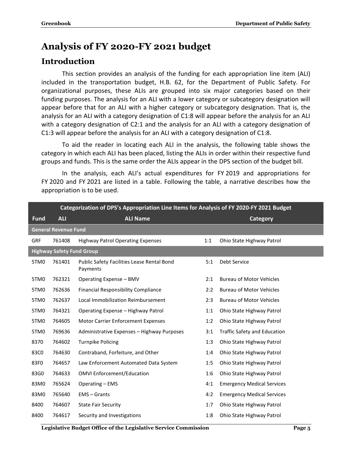## <span id="page-6-0"></span>**Analysis of FY 2020-FY 2021 budget**

## <span id="page-6-1"></span>**Introduction**

This section provides an analysis of the funding for each appropriation line item (ALI) included in the transportation budget, H.B. 62, for the Department of Public Safety. For organizational purposes, these ALIs are grouped into six major categories based on their funding purposes. The analysis for an ALI with a lower category or subcategory designation will appear before that for an ALI with a higher category or subcategory designation. That is, the analysis for an ALI with a category designation of C1:8 will appear before the analysis for an ALI with a category designation of C2:1 and the analysis for an ALI with a category designation of C1:3 will appear before the analysis for an ALI with a category designation of C1:8.

To aid the reader in locating each ALI in the analysis, the following table shows the category in which each ALI has been placed, listing the ALIs in order within their respective fund groups and funds. This is the same order the ALIs appear in the DPS section of the budget bill.

In the analysis, each ALI's actual expenditures for FY 2019 and appropriations for FY 2020 and FY 2021 are listed in a table. Following the table, a narrative describes how the appropriation is to be used.

|                  | Categorization of DPS's Appropriation Line Items for Analysis of FY 2020-FY 2021 Budget |                                                        |     |                                   |  |  |
|------------------|-----------------------------------------------------------------------------------------|--------------------------------------------------------|-----|-----------------------------------|--|--|
| <b>Fund</b>      | <b>ALI</b>                                                                              | <b>ALI Name</b>                                        |     | <b>Category</b>                   |  |  |
|                  | <b>General Revenue Fund</b>                                                             |                                                        |     |                                   |  |  |
| GRF              | 761408                                                                                  | <b>Highway Patrol Operating Expenses</b>               | 1:1 | Ohio State Highway Patrol         |  |  |
|                  | <b>Highway Safety Fund Group</b>                                                        |                                                        |     |                                   |  |  |
| 5TM <sub>0</sub> | 761401                                                                                  | Public Safety Facilities Lease Rental Bond<br>Payments | 5:1 | Debt Service                      |  |  |
| 5TM <sub>0</sub> | 762321                                                                                  | Operating Expense - BMV                                | 2:1 | <b>Bureau of Motor Vehicles</b>   |  |  |
| 5TM <sub>0</sub> | 762636                                                                                  | <b>Financial Responsibility Compliance</b>             | 2:2 | <b>Bureau of Motor Vehicles</b>   |  |  |
| 5TM <sub>0</sub> | 762637                                                                                  | Local Immobilization Reimbursement                     | 2:3 | <b>Bureau of Motor Vehicles</b>   |  |  |
| 5TM <sub>0</sub> | 764321                                                                                  | Operating Expense - Highway Patrol                     | 1:1 | Ohio State Highway Patrol         |  |  |
| 5TM <sub>0</sub> | 764605                                                                                  | <b>Motor Carrier Enforcement Expenses</b>              | 1:2 | Ohio State Highway Patrol         |  |  |
| 5TM <sub>0</sub> | 769636                                                                                  | Administrative Expenses - Highway Purposes             | 3:1 | Traffic Safety and Education      |  |  |
| 8370             | 764602                                                                                  | <b>Turnpike Policing</b>                               | 1:3 | Ohio State Highway Patrol         |  |  |
| 83C0             | 764630                                                                                  | Contraband, Forfeiture, and Other                      | 1:4 | Ohio State Highway Patrol         |  |  |
| 83F0             | 764657                                                                                  | Law Enforcement Automated Data System                  | 1:5 | Ohio State Highway Patrol         |  |  |
| 83G0             | 764633                                                                                  | <b>OMVI Enforcement/Education</b>                      | 1:6 | Ohio State Highway Patrol         |  |  |
| 83M0             | 765624                                                                                  | Operating - EMS                                        | 4:1 | <b>Emergency Medical Services</b> |  |  |
| 83M0             | 765640                                                                                  | $EMS - Grants$                                         | 4:2 | <b>Emergency Medical Services</b> |  |  |
| 8400             | 764607                                                                                  | <b>State Fair Security</b>                             | 1:7 | Ohio State Highway Patrol         |  |  |
| 8400             | 764617                                                                                  | Security and Investigations                            | 1:8 | Ohio State Highway Patrol         |  |  |

**Legislative Budget Office of the Legislative Service Commission Page 5**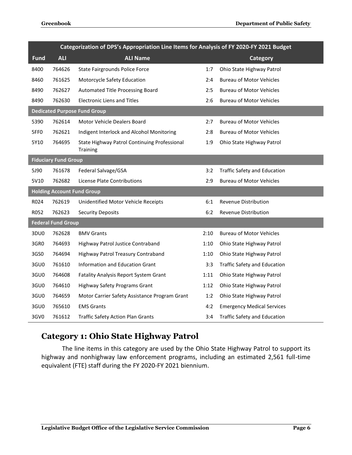|                  | Categorization of DPS's Appropriation Line Items for Analysis of FY 2020-FY 2021 Budget |                                                                 |      |                                     |  |  |
|------------------|-----------------------------------------------------------------------------------------|-----------------------------------------------------------------|------|-------------------------------------|--|--|
| <b>Fund</b>      | <b>ALI</b>                                                                              | <b>ALI Name</b>                                                 |      | <b>Category</b>                     |  |  |
| 8400             | 764626                                                                                  | State Fairgrounds Police Force                                  | 1:7  | Ohio State Highway Patrol           |  |  |
| 8460             | 761625                                                                                  | Motorcycle Safety Education                                     | 2:4  | <b>Bureau of Motor Vehicles</b>     |  |  |
| 8490             | 762627                                                                                  | Automated Title Processing Board                                | 2:5  | <b>Bureau of Motor Vehicles</b>     |  |  |
| 8490             | 762630                                                                                  | <b>Electronic Liens and Titles</b>                              | 2:6  | <b>Bureau of Motor Vehicles</b>     |  |  |
|                  |                                                                                         | <b>Dedicated Purpose Fund Group</b>                             |      |                                     |  |  |
| 5390             | 762614                                                                                  | Motor Vehicle Dealers Board                                     | 2:7  | <b>Bureau of Motor Vehicles</b>     |  |  |
| 5FF <sub>0</sub> | 762621                                                                                  | Indigent Interlock and Alcohol Monitoring                       | 2:8  | <b>Bureau of Motor Vehicles</b>     |  |  |
| 5Y10             | 764695                                                                                  | State Highway Patrol Continuing Professional<br><b>Training</b> | 1:9  | Ohio State Highway Patrol           |  |  |
|                  | <b>Fiduciary Fund Group</b>                                                             |                                                                 |      |                                     |  |  |
| 5J90             | 761678                                                                                  | Federal Salvage/GSA                                             | 3:2  | <b>Traffic Safety and Education</b> |  |  |
| 5V10             | 762682                                                                                  | License Plate Contributions                                     | 2:9  | <b>Bureau of Motor Vehicles</b>     |  |  |
|                  |                                                                                         | <b>Holding Account Fund Group</b>                               |      |                                     |  |  |
| R024             | 762619                                                                                  | Unidentified Motor Vehicle Receipts                             | 6:1  | Revenue Distribution                |  |  |
| R052             | 762623                                                                                  | <b>Security Deposits</b>                                        | 6:2  | Revenue Distribution                |  |  |
|                  | <b>Federal Fund Group</b>                                                               |                                                                 |      |                                     |  |  |
| 3DU0             | 762628                                                                                  | <b>BMV Grants</b>                                               | 2:10 | <b>Bureau of Motor Vehicles</b>     |  |  |
| 3GR0             | 764693                                                                                  | Highway Patrol Justice Contraband                               | 1:10 | Ohio State Highway Patrol           |  |  |
| 3GS0             | 764694                                                                                  | Highway Patrol Treasury Contraband                              | 1:10 | Ohio State Highway Patrol           |  |  |
| 3GU0             | 761610                                                                                  | Information and Education Grant                                 | 3:3  | <b>Traffic Safety and Education</b> |  |  |
| 3GU0             | 764608                                                                                  | <b>Fatality Analysis Report System Grant</b>                    | 1:11 | Ohio State Highway Patrol           |  |  |
| 3GU0             | 764610                                                                                  | <b>Highway Safety Programs Grant</b>                            | 1:12 | Ohio State Highway Patrol           |  |  |
| 3GU0             | 764659                                                                                  | Motor Carrier Safety Assistance Program Grant                   | 1:2  | Ohio State Highway Patrol           |  |  |
| 3GU0             | 765610                                                                                  | <b>EMS Grants</b>                                               | 4:2  | <b>Emergency Medical Services</b>   |  |  |
| 3GV0             | 761612                                                                                  | <b>Traffic Safety Action Plan Grants</b>                        | 3:4  | Traffic Safety and Education        |  |  |

## <span id="page-7-0"></span>**Category 1: Ohio State Highway Patrol**

The line items in this category are used by the Ohio State Highway Patrol to support its highway and nonhighway law enforcement programs, including an estimated 2,561 full-time equivalent (FTE) staff during the FY 2020-FY 2021 biennium.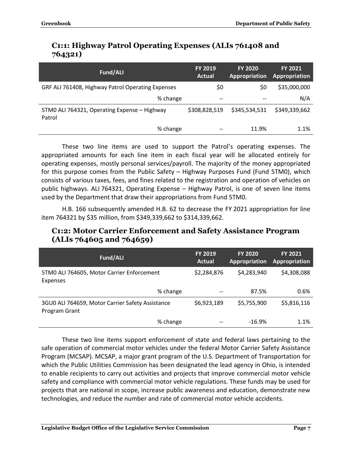## <span id="page-8-0"></span>**C1:1: Highway Patrol Operating Expenses (ALIs 761408 and 764321)**

| Fund/ALI                                               | <b>FY 2019</b><br><b>Actual</b> | <b>FY 2020</b><br>Appropriation | <b>FY 2021</b><br>Appropriation |
|--------------------------------------------------------|---------------------------------|---------------------------------|---------------------------------|
| GRF ALI 761408, Highway Patrol Operating Expenses      | \$0                             | S0                              | \$35,000,000                    |
| % change                                               | $\qquad \qquad -$               | --                              | N/A                             |
| 5TM0 ALI 764321, Operating Expense - Highway<br>Patrol | \$308,828,519                   | \$345,534,531                   | \$349,339,662                   |
| % change                                               | $- -$                           | 11.9%                           | 1.1%                            |

These two line items are used to support the Patrol's operating expenses. The appropriated amounts for each line item in each fiscal year will be allocated entirely for operating expenses, mostly personal services/payroll. The majority of the money appropriated for this purpose comes from the Public Safety – Highway Purposes Fund (Fund 5TM0), which consists of various taxes, fees, and fines related to the registration and operation of vehicles on public highways. ALI 764321, Operating Expense – Highway Patrol, is one of seven line items used by the Department that draw their appropriations from Fund 5TM0.

H.B. 166 subsequently amended H.B. 62 to decrease the FY 2021 appropriation for line item 764321 by \$35 million, from \$349,339,662 to \$314,339,662.

#### <span id="page-8-1"></span>**C1:2: Motor Carrier Enforcement and Safety Assistance Program (ALIs 764605 and 764659)**

| Fund/ALI                                                          | FY 2019<br>Actual | <b>FY 2020</b><br>Appropriation | <b>FY 2021</b><br>Appropriation |
|-------------------------------------------------------------------|-------------------|---------------------------------|---------------------------------|
| 5TM0 ALI 764605, Motor Carrier Enforcement<br>Expenses            | \$2,284,876       | \$4,283,940                     | \$4,308,088                     |
| % change                                                          | $- -$             | 87.5%                           | 0.6%                            |
| 3GU0 ALI 764659, Motor Carrier Safety Assistance<br>Program Grant | \$6,923,189       | \$5,755,900                     | \$5,816,116                     |
| % change                                                          |                   | $-16.9%$                        | 1.1%                            |

These two line items support enforcement of state and federal laws pertaining to the safe operation of commercial motor vehicles under the federal Motor Carrier Safety Assistance Program (MCSAP). MCSAP, a major grant program of the U.S. Department of Transportation for which the Public Utilities Commission has been designated the lead agency in Ohio, is intended to enable recipients to carry out activities and projects that improve commercial motor vehicle safety and compliance with commercial motor vehicle regulations. These funds may be used for projects that are national in scope, increase public awareness and education, demonstrate new technologies, and reduce the number and rate of commercial motor vehicle accidents.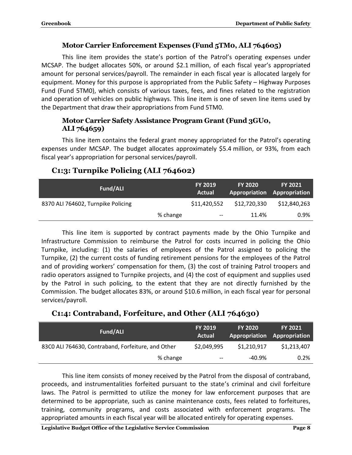#### **Motor Carrier Enforcement Expenses (Fund 5TM0, ALI 764605)**

This line item provides the state's portion of the Patrol's operating expenses under MCSAP. The budget allocates 50%, or around \$2.1 million, of each fiscal year's appropriated amount for personal services/payroll. The remainder in each fiscal year is allocated largely for equipment. Money for this purpose is appropriated from the Public Safety – Highway Purposes Fund (Fund 5TM0), which consists of various taxes, fees, and fines related to the registration and operation of vehicles on public highways. This line item is one of seven line items used by the Department that draw their appropriations from Fund 5TM0.

#### **Motor Carrier Safety Assistance Program Grant (Fund 3GU0, ALI 764659)**

This line item contains the federal grant money appropriated for the Patrol's operating expenses under MCSAP. The budget allocates approximately \$5.4 million, or 93%, from each fiscal year's appropriation for personal services/payroll.

| <b>Fund/ALI</b>                    |          | <b>FY 2019</b><br>Actual | <b>FY 2020</b><br>Appropriation Appropriation | <b>FY 2021</b> |
|------------------------------------|----------|--------------------------|-----------------------------------------------|----------------|
| 8370 ALI 764602, Turnpike Policing |          | \$11,420,552             | \$12,720,330                                  | \$12,840,263   |
|                                    | % change | $--$                     | 11.4%                                         | $0.9\%$        |

## <span id="page-9-0"></span>**C1:3: Turnpike Policing (ALI 764602)**

This line item is supported by contract payments made by the Ohio Turnpike and Infrastructure Commission to reimburse the Patrol for costs incurred in policing the Ohio Turnpike, including: (1) the salaries of employees of the Patrol assigned to policing the Turnpike, (2) the current costs of funding retirement pensions for the employees of the Patrol and of providing workers' compensation for them, (3) the cost of training Patrol troopers and radio operators assigned to Turnpike projects, and (4) the cost of equipment and supplies used by the Patrol in such policing, to the extent that they are not directly furnished by the Commission. The budget allocates 83%, or around \$10.6 million, in each fiscal year for personal services/payroll.

## <span id="page-9-1"></span>**C1:4: Contraband, Forfeiture, and Other (ALI 764630)**

| Fund/ALI                                           | <b>FY 2019</b><br>Actual | <b>FY 2020</b> | <b>FY 2021</b><br>Appropriation Appropriation |
|----------------------------------------------------|--------------------------|----------------|-----------------------------------------------|
| 83C0 ALI 764630, Contraband, Forfeiture, and Other | \$2,049,995              | \$1,210,917    | \$1,213,407                                   |
| % change                                           | $-\!$ $\!-$              | -40.9%         | 0.2%                                          |

This line item consists of money received by the Patrol from the disposal of contraband, proceeds, and instrumentalities forfeited pursuant to the state's criminal and civil forfeiture laws. The Patrol is permitted to utilize the money for law enforcement purposes that are determined to be appropriate, such as canine maintenance costs, fees related to forfeitures, training, community programs, and costs associated with enforcement programs. The appropriated amounts in each fiscal year will be allocated entirely for operating expenses.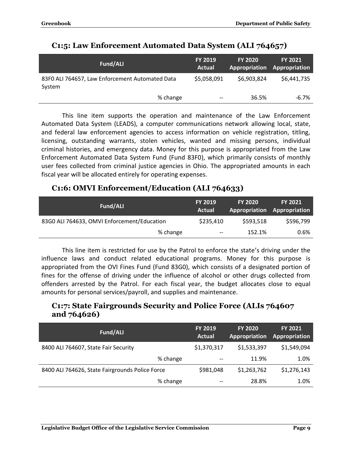| Fund/ALI                                                  | <b>FY 2019</b><br>Actual | <b>FY 2020</b> | <b>FY 2021</b><br>Appropriation Appropriation |
|-----------------------------------------------------------|--------------------------|----------------|-----------------------------------------------|
| 83F0 ALI 764657, Law Enforcement Automated Data<br>System | \$5,058,091              | \$6,903,824    | \$6,441,735                                   |
| % change                                                  | $- -$                    | 36.5%          | $-6.7\%$                                      |

### <span id="page-10-0"></span>**C1:5: Law Enforcement Automated Data System (ALI 764657)**

This line item supports the operation and maintenance of the Law Enforcement Automated Data System (LEADS), a computer communications network allowing local, state, and federal law enforcement agencies to access information on vehicle registration, titling, licensing, outstanding warrants, stolen vehicles, wanted and missing persons, individual criminal histories, and emergency data. Money for this purpose is appropriated from the Law Enforcement Automated Data System Fund (Fund 83F0), which primarily consists of monthly user fees collected from criminal justice agencies in Ohio. The appropriated amounts in each fiscal year will be allocated entirely for operating expenses.

## <span id="page-10-1"></span>**C1:6: OMVI Enforcement/Education (ALI 764633)**

| Fund/ALI                                    | <b>FY 2019</b><br><b>Actual</b> | <b>FY 2020</b><br>Appropriation Appropriation | <b>FY 2021</b> |
|---------------------------------------------|---------------------------------|-----------------------------------------------|----------------|
| 83G0 ALI 764633, OMVI Enforcement/Education | \$235,410                       | \$593,518                                     | \$596,799      |
| % change                                    | $-\!$ $\!-$                     | 152.1%                                        | 0.6%           |

This line item is restricted for use by the Patrol to enforce the state's driving under the influence laws and conduct related educational programs. Money for this purpose is appropriated from the OVI Fines Fund (Fund 83G0), which consists of a designated portion of fines for the offense of driving under the influence of alcohol or other drugs collected from offenders arrested by the Patrol. For each fiscal year, the budget allocates close to equal amounts for personal services/payroll, and supplies and maintenance.

#### <span id="page-10-2"></span>**C1:7: State Fairgrounds Security and Police Force (ALIs 764607 and 764626)**

| Fund/ALI                                        | <b>FY 2019</b><br><b>Actual</b> | <b>FY 2020</b><br>Appropriation | <b>FY 2021</b><br>Appropriation |
|-------------------------------------------------|---------------------------------|---------------------------------|---------------------------------|
| 8400 ALI 764607, State Fair Security            | \$1,370,317                     | \$1,533,397                     | \$1,549,094                     |
| % change                                        | $- -$                           | 11.9%                           | 1.0%                            |
| 8400 ALI 764626, State Fairgrounds Police Force | \$981,048                       | \$1,263,762                     | \$1,276,143                     |
| % change                                        | --                              | 28.8%                           | 1.0%                            |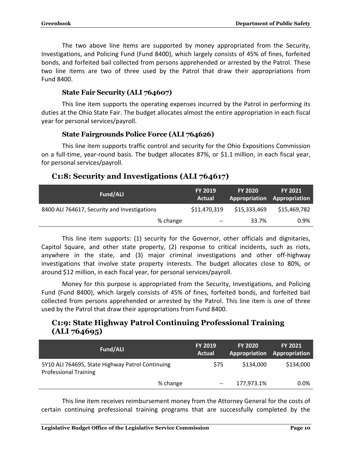The two above line items are supported by money appropriated from the Security, Investigations, and Policing Fund (Fund 8400), which largely consists of 45% of fines, forfeited bonds, and forfeited bail collected from persons apprehended or arrested by the Patrol. These two line items are two of three used by the Patrol that draw their appropriations from Fund 8400.

#### **State Fair Security (ALI 764607)**

This line item supports the operating expenses incurred by the Patrol in performing its duties at the Ohio State Fair. The budget allocates almost the entire appropriation in each fiscal year for personal services/payroll.

#### **State Fairgrounds Police Force (ALI 764626)**

This line item supports traffic control and security for the Ohio Expositions Commission on a full-time, year-round basis. The budget allocates 87%, or \$1.1 million, in each fiscal year, for personal services/payroll.

#### <span id="page-11-0"></span>**C1:8: Security and Investigations (ALI 764617)**

| Fund/ALI                                     | <b>FY 2019</b><br><b>Actual</b> | <b>FY 2020</b> | <b>FY 2021</b><br><b>Appropriation Appropriation</b> |
|----------------------------------------------|---------------------------------|----------------|------------------------------------------------------|
| 8400 ALI 764617, Security and Investigations | \$11,470,319                    | \$15,333,469   | \$15,469,782                                         |
| % change                                     | $\hspace{0.05cm} \textbf{--}$   | 33.7%          | 0.9%                                                 |

This line item supports: (1) security for the Governor, other officials and dignitaries, Capitol Square, and other state property, (2) response to critical incidents, such as riots, anywhere in the state, and (3) major criminal investigations and other off-highway investigations that involve state property interests. The budget allocates close to 80%, or around \$12 million, in each fiscal year, for personal services/payroll.

Money for this purpose is appropriated from the Security, Investigations, and Policing Fund (Fund 8400), which largely consists of 45% of fines, forfeited bonds, and forfeited bail collected from persons apprehended or arrested by the Patrol. This line item is one of three used by the Patrol that draw their appropriations from Fund 8400.

## <span id="page-11-1"></span>**C1:9: State Highway Patrol Continuing Professional Training (ALI 764695)**

| Fund/ALI                                                                         | <b>FY 2019</b><br><b>Actual</b> | <b>FY 2020</b><br>Appropriation Appropriation | <b>FY 2021</b> |
|----------------------------------------------------------------------------------|---------------------------------|-----------------------------------------------|----------------|
| 5Y10 ALI 764695, State Highway Patrol Continuing<br><b>Professional Training</b> | \$75                            | \$134,000                                     | \$134,000      |
| % change                                                                         | $- -$                           | 177,973.1%                                    | 0.0%           |

This line item receives reimbursement money from the Attorney General for the costs of certain continuing professional training programs that are successfully completed by the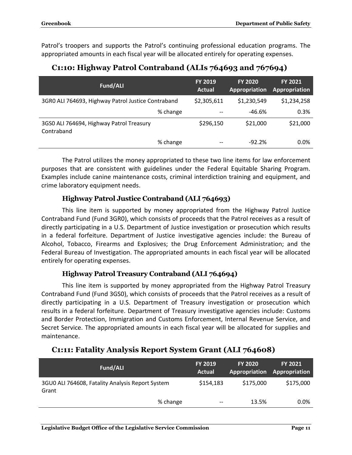Patrol's troopers and supports the Patrol's continuing professional education programs. The appropriated amounts in each fiscal year will be allocated entirely for operating expenses.

| Fund/ALI                                               |          | <b>FY 2019</b><br><b>Actual</b> | <b>FY 2020</b><br>Appropriation | <b>FY 2021</b><br>Appropriation |
|--------------------------------------------------------|----------|---------------------------------|---------------------------------|---------------------------------|
| 3GR0 ALI 764693, Highway Patrol Justice Contraband     |          | \$2,305,611                     | \$1,230,549                     | \$1,234,258                     |
|                                                        | % change |                                 | -46.6%                          | 0.3%                            |
| 3GS0 ALI 764694, Highway Patrol Treasury<br>Contraband |          | \$296,150                       | \$21,000                        | \$21,000                        |
|                                                        | % change |                                 | $-92.2%$                        | 0.0%                            |

## <span id="page-12-0"></span>**C1:10: Highway Patrol Contraband (ALIs 764693 and 767694)**

The Patrol utilizes the money appropriated to these two line items for law enforcement purposes that are consistent with guidelines under the Federal Equitable Sharing Program. Examples include canine maintenance costs, criminal interdiction training and equipment, and crime laboratory equipment needs.

#### **Highway Patrol Justice Contraband (ALI 764693)**

This line item is supported by money appropriated from the Highway Patrol Justice Contraband Fund (Fund 3GR0), which consists of proceeds that the Patrol receives as a result of directly participating in a U.S. Department of Justice investigation or prosecution which results in a federal forfeiture. Department of Justice investigative agencies include: the Bureau of Alcohol, Tobacco, Firearms and Explosives; the Drug Enforcement Administration; and the Federal Bureau of Investigation. The appropriated amounts in each fiscal year will be allocated entirely for operating expenses.

#### **Highway Patrol Treasury Contraband (ALI 764694)**

This line item is supported by money appropriated from the Highway Patrol Treasury Contraband Fund (Fund 3GS0), which consists of proceeds that the Patrol receives as a result of directly participating in a U.S. Department of Treasury investigation or prosecution which results in a federal forfeiture. Department of Treasury investigative agencies include: Customs and Border Protection, Immigration and Customs Enforcement, Internal Revenue Service, and Secret Service. The appropriated amounts in each fiscal year will be allocated for supplies and maintenance.

## <span id="page-12-1"></span>**C1:11: Fatality Analysis Report System Grant (ALI 764608)**

| Fund/ALI                                                  | <b>FY 2019</b><br><b>Actual</b>                   | <b>FY 2020</b> | <b>FY 2021</b><br>Appropriation Appropriation |
|-----------------------------------------------------------|---------------------------------------------------|----------------|-----------------------------------------------|
| 3GU0 ALI 764608, Fatality Analysis Report System<br>Grant | \$154,183                                         | \$175,000      | \$175,000                                     |
|                                                           | % change<br>$\hspace{0.05cm}$ – $\hspace{0.05cm}$ | 13.5%          | 0.0%                                          |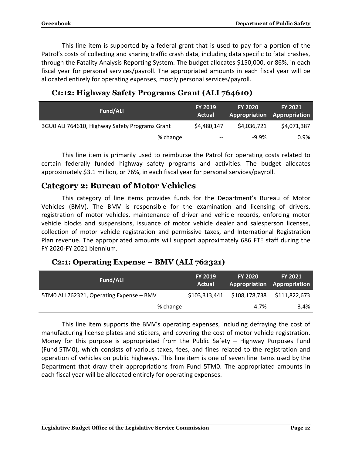This line item is supported by a federal grant that is used to pay for a portion of the Patrol's costs of collecting and sharing traffic crash data, including data specific to fatal crashes, through the Fatality Analysis Reporting System. The budget allocates \$150,000, or 86%, in each fiscal year for personal services/payroll. The appropriated amounts in each fiscal year will be allocated entirely for operating expenses, mostly personal services/payroll.

| Fund/ALI                                       | <b>FY 2019</b><br>Actual | <b>FY 2020</b> | <b>FY 2021</b><br>Appropriation Appropriation |
|------------------------------------------------|--------------------------|----------------|-----------------------------------------------|
| 3GU0 ALI 764610, Highway Safety Programs Grant | \$4,480,147              | \$4,036,721    | \$4,071,387                                   |
| % change                                       | $- -$                    | $-9.9%$        | $0.9\%$                                       |

#### <span id="page-13-0"></span>**C1:12: Highway Safety Programs Grant (ALI 764610)**

This line item is primarily used to reimburse the Patrol for operating costs related to certain federally funded highway safety programs and activities. The budget allocates approximately \$3.1 million, or 76%, in each fiscal year for personal services/payroll.

## <span id="page-13-1"></span>**Category 2: Bureau of Motor Vehicles**

This category of line items provides funds for the Department's Bureau of Motor Vehicles (BMV). The BMV is responsible for the examination and licensing of drivers, registration of motor vehicles, maintenance of driver and vehicle records, enforcing motor vehicle blocks and suspensions, issuance of motor vehicle dealer and salesperson licenses, collection of motor vehicle registration and permissive taxes, and International Registration Plan revenue. The appropriated amounts will support approximately 686 FTE staff during the FY 2020-FY 2021 biennium.

#### <span id="page-13-2"></span>**C2:1: Operating Expense – BMV (ALI 762321)**

| Fund/ALI                                 | <b>FY 2019</b><br><b>Actual</b> | <b>FY 2020</b><br><b>Appropriation Appropriation</b> | <b>FY 2021</b> |
|------------------------------------------|---------------------------------|------------------------------------------------------|----------------|
| 5TM0 ALI 762321, Operating Expense - BMV | \$103,313,441                   | \$108,178,738                                        | \$111,822,673  |
| % change                                 | $\hspace{0.05cm} \textbf{--}$   | 4.7%                                                 | 3.4%           |

This line item supports the BMV's operating expenses, including defraying the cost of manufacturing license plates and stickers, and covering the cost of motor vehicle registration. Money for this purpose is appropriated from the Public Safety – Highway Purposes Fund (Fund 5TM0), which consists of various taxes, fees, and fines related to the registration and operation of vehicles on public highways. This line item is one of seven line items used by the Department that draw their appropriations from Fund 5TM0. The appropriated amounts in each fiscal year will be allocated entirely for operating expenses.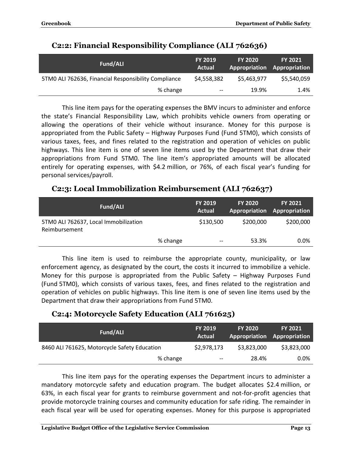| Fund/ALI                                             | <b>FY 2019</b><br>Actual | <b>FY 2020</b><br><b>Appropriation Appropriation</b> | <b>FY 2021</b> |
|------------------------------------------------------|--------------------------|------------------------------------------------------|----------------|
| 5TM0 ALI 762636, Financial Responsibility Compliance | \$4,558,382              | \$5,463,977                                          | \$5,540,059    |
| % change                                             | $- -$                    | 19.9%                                                | 1.4%           |

## <span id="page-14-0"></span>**C2:2: Financial Responsibility Compliance (ALI 762636)**

This line item pays for the operating expenses the BMV incurs to administer and enforce the state's Financial Responsibility Law, which prohibits vehicle owners from operating or allowing the operations of their vehicle without insurance. Money for this purpose is appropriated from the Public Safety – Highway Purposes Fund (Fund 5TM0), which consists of various taxes, fees, and fines related to the registration and operation of vehicles on public highways. This line item is one of seven line items used by the Department that draw their appropriations from Fund 5TM0. The line item's appropriated amounts will be allocated entirely for operating expenses, with \$4.2 million, or 76%, of each fiscal year's funding for personal services/payroll.

## <span id="page-14-1"></span>**C2:3: Local Immobilization Reimbursement (ALI 762637)**

| Fund/ALI                                               |          | <b>FY 2019</b><br>Actual | <b>FY 2020</b> | <b>FY 2021</b><br>Appropriation Appropriation |
|--------------------------------------------------------|----------|--------------------------|----------------|-----------------------------------------------|
| 5TM0 ALI 762637, Local Immobilization<br>Reimbursement |          | \$130,500                | \$200,000      | \$200,000                                     |
|                                                        | % change | $\overline{\phantom{m}}$ | 53.3%          | $0.0\%$                                       |

This line item is used to reimburse the appropriate county, municipality, or law enforcement agency, as designated by the court, the costs it incurred to immobilize a vehicle. Money for this purpose is appropriated from the Public Safety – Highway Purposes Fund (Fund 5TM0), which consists of various taxes, fees, and fines related to the registration and operation of vehicles on public highways. This line item is one of seven line items used by the Department that draw their appropriations from Fund 5TM0.

## <span id="page-14-2"></span>**C2:4: Motorcycle Safety Education (ALI 761625)**

| Fund/ALI                                     | <b>FY 2019</b><br>Actual              | <b>FY 2020</b> | <b>FY 2021</b><br>Appropriation Appropriation |
|----------------------------------------------|---------------------------------------|----------------|-----------------------------------------------|
| 8460 ALI 761625, Motorcycle Safety Education | \$2,978,173                           | \$3,823,000    | \$3,823,000                                   |
| % change                                     | $\hspace{0.05cm}$ – $\hspace{0.05cm}$ | 28.4%          | $0.0\%$                                       |

This line item pays for the operating expenses the Department incurs to administer a mandatory motorcycle safety and education program. The budget allocates \$2.4 million, or 63%, in each fiscal year for grants to reimburse government and not-for-profit agencies that provide motorcycle training courses and community education for safe riding. The remainder in each fiscal year will be used for operating expenses. Money for this purpose is appropriated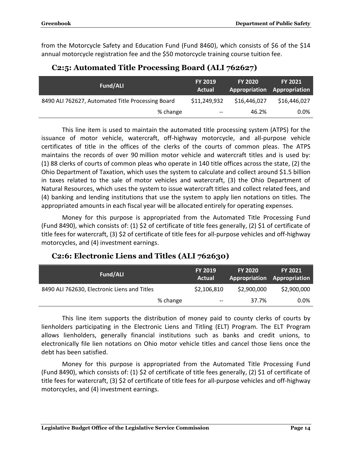from the Motorcycle Safety and Education Fund (Fund 8460), which consists of \$6 of the \$14 annual motorcycle registration fee and the \$50 motorcycle training course tuition fee.

<span id="page-15-0"></span>

| Fund/ALI                                          | <b>FY 2019</b><br>Actual | <b>FY 2020</b><br>Appropriation Appropriation | <b>FY 2021</b> |
|---------------------------------------------------|--------------------------|-----------------------------------------------|----------------|
| 8490 ALI 762627, Automated Title Processing Board | \$11,249,932             | \$16,446,027                                  | \$16,446,027   |
| % change                                          | $- -$                    | 46.2%                                         | 0.0%           |

## **C2:5: Automated Title Processing Board (ALI 762627)**

This line item is used to maintain the automated title processing system (ATPS) for the issuance of motor vehicle, watercraft, off-highway motorcycle, and all-purpose vehicle certificates of title in the offices of the clerks of the courts of common pleas. The ATPS maintains the records of over 90 million motor vehicle and watercraft titles and is used by: (1) 88 clerks of courts of common pleas who operate in 140 title offices across the state, (2) the Ohio Department of Taxation, which uses the system to calculate and collect around \$1.5 billion in taxes related to the sale of motor vehicles and watercraft, (3) the Ohio Department of Natural Resources, which uses the system to issue watercraft titles and collect related fees, and (4) banking and lending institutions that use the system to apply lien notations on titles. The appropriated amounts in each fiscal year will be allocated entirely for operating expenses.

Money for this purpose is appropriated from the Automated Title Processing Fund (Fund 8490), which consists of: (1) \$2 of certificate of title fees generally, (2) \$1 of certificate of title fees for watercraft, (3) \$2 of certificate of title fees for all-purpose vehicles and off-highway motorcycles, and (4) investment earnings.

#### **Fund/ALI FY <sup>2019</sup> Actual FY 2020 Appropriation Appropriation FY 2021** 8490 ALI 762630, Electronic Liens and Titles  $$2,106,810$  \$2,900,000 \$2,900,000 % change  $-$  37.7% 0.0%

## <span id="page-15-1"></span>**C2:6: Electronic Liens and Titles (ALI 762630)**

This line item supports the distribution of money paid to county clerks of courts by lienholders participating in the Electronic Liens and Titling (ELT) Program. The ELT Program allows lienholders, generally financial institutions such as banks and credit unions, to electronically file lien notations on Ohio motor vehicle titles and cancel those liens once the debt has been satisfied.

Money for this purpose is appropriated from the Automated Title Processing Fund (Fund 8490), which consists of: (1) \$2 of certificate of title fees generally, (2) \$1 of certificate of title fees for watercraft, (3) \$2 of certificate of title fees for all-purpose vehicles and off-highway motorcycles, and (4) investment earnings.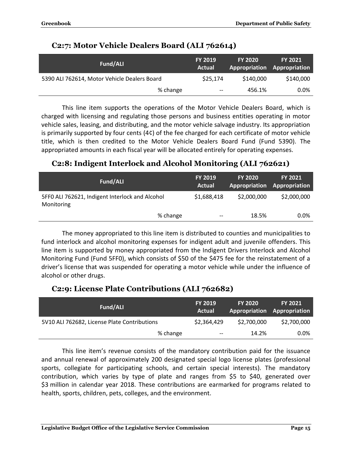| Fund/ALI                                     | <b>FY 2019</b><br>Actual | <b>FY 2020</b><br>Appropriation Appropriation | <b>FY 2021</b> |
|----------------------------------------------|--------------------------|-----------------------------------------------|----------------|
| 5390 ALI 762614, Motor Vehicle Dealers Board | \$25,174                 | \$140,000                                     | \$140,000      |
| % change                                     | $-$                      | 456.1%                                        | $0.0\%$        |

## <span id="page-16-0"></span>**C2:7: Motor Vehicle Dealers Board (ALI 762614)**

This line item supports the operations of the Motor Vehicle Dealers Board, which is charged with licensing and regulating those persons and business entities operating in motor vehicle sales, leasing, and distributing, and the motor vehicle salvage industry. Its appropriation is primarily supported by four cents (4¢) of the fee charged for each certificate of motor vehicle title, which is then credited to the Motor Vehicle Dealers Board Fund (Fund 5390). The appropriated amounts in each fiscal year will be allocated entirely for operating expenses.

## <span id="page-16-1"></span>**C2:8: Indigent Interlock and Alcohol Monitoring (ALI 762621)**

| Fund/ALI                                                      |          | <b>FY 2019</b><br>Actual | <b>FY 2020</b> | <b>FY 2021</b><br><b>Appropriation Appropriation</b> |
|---------------------------------------------------------------|----------|--------------------------|----------------|------------------------------------------------------|
| 5FF0 ALI 762621, Indigent Interlock and Alcohol<br>Monitoring |          | \$1,688,418              | \$2,000,000    | \$2,000,000                                          |
|                                                               | % change | $- -$                    | 18.5%          | $0.0\%$                                              |

The money appropriated to this line item is distributed to counties and municipalities to fund interlock and alcohol monitoring expenses for indigent adult and juvenile offenders. This line item is supported by money appropriated from the Indigent Drivers Interlock and Alcohol Monitoring Fund (Fund 5FF0), which consists of \$50 of the \$475 fee for the reinstatement of a driver's license that was suspended for operating a motor vehicle while under the influence of alcohol or other drugs.

## <span id="page-16-2"></span>**C2:9: License Plate Contributions (ALI 762682)**

| Fund/ALI                                     | <b>FY 2019</b><br><b>Actual</b>                   | <b>FY 2020</b> | <b>FY 2021</b><br>Appropriation Appropriation |
|----------------------------------------------|---------------------------------------------------|----------------|-----------------------------------------------|
| 5V10 ALI 762682, License Plate Contributions | \$2,364,429                                       | \$2,700,000    | \$2,700,000                                   |
|                                              | % change<br>$\hspace{0.05cm}$ – $\hspace{0.05cm}$ | 14.2%          | 0.0%                                          |

This line item's revenue consists of the mandatory contribution paid for the issuance and annual renewal of approximately 200 designated special logo license plates (professional sports, collegiate for participating schools, and certain special interests). The mandatory contribution, which varies by type of plate and ranges from \$5 to \$40, generated over \$3 million in calendar year 2018. These contributions are earmarked for programs related to health, sports, children, pets, colleges, and the environment.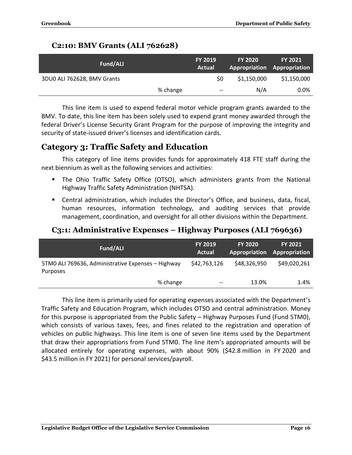## <span id="page-17-0"></span>**C2:10: BMV Grants (ALI 762628)**

| Fund/ALI                    |          | <b>FY 2019</b><br>Actual | <b>FY 2020</b><br>Appropriation Appropriation | <b>FY 2021</b> |
|-----------------------------|----------|--------------------------|-----------------------------------------------|----------------|
| 3DU0 ALI 762628, BMV Grants |          | S0                       | \$1,150,000                                   | \$1,150,000    |
|                             | % change | $-\!$ $\!-$              | N/A                                           | 0.0%           |

This line item is used to expend federal motor vehicle program grants awarded to the BMV. To date, this line item has been solely used to expend grant money awarded through the federal Driver's License Security Grant Program for the purpose of improving the integrity and security of state-issued driver's licenses and identification cards.

## <span id="page-17-1"></span>**Category 3: Traffic Safety and Education**

This category of line items provides funds for approximately 418 FTE staff during the next biennium as well as the following services and activities:

- The Ohio Traffic Safety Office (OTSO), which administers grants from the National Highway Traffic Safety Administration (NHTSA).
- Central administration, which includes the Director's Office, and business, data, fiscal, human resources, information technology, and auditing services that provide management, coordination, and oversight for all other divisions within the Department.

## <span id="page-17-2"></span>**C3:1: Administrative Expenses – Highway Purposes (ALI 769636)**

| Fund/ALI                                                       | <b>FY 2019</b><br>Actual | <b>FY 2020</b> | <b>FY 2021</b><br>Appropriation Appropriation |
|----------------------------------------------------------------|--------------------------|----------------|-----------------------------------------------|
| 5TM0 ALI 769636, Administrative Expenses - Highway<br>Purposes | \$42,763,126             | \$48,326,950   | \$49,020,261                                  |
| % change                                                       | $\qquad \qquad -$        | 13.0%          | 1.4%                                          |

This line item is primarily used for operating expenses associated with the Department's Traffic Safety and Education Program, which includes OTSO and central administration. Money for this purpose is appropriated from the Public Safety – Highway Purposes Fund (Fund 5TM0), which consists of various taxes, fees, and fines related to the registration and operation of vehicles on public highways. This line item is one of seven line items used by the Department that draw their appropriations from Fund 5TM0. The line item's appropriated amounts will be allocated entirely for operating expenses, with about 90% (\$42.8 million in FY 2020 and \$43.5 million in FY 2021) for personal services/payroll.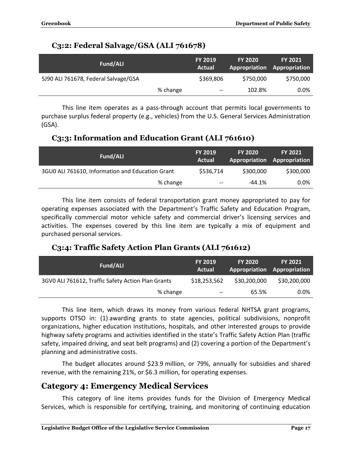## <span id="page-18-0"></span>**C3:2: Federal Salvage/GSA (ALI 761678)**

| Fund/ALI                             |          | <b>FY 2019</b><br>Actual | <b>FY 2020</b><br>Appropriation Appropriation | <b>FY 2021</b> |
|--------------------------------------|----------|--------------------------|-----------------------------------------------|----------------|
| 5J90 ALI 761678, Federal Salvage/GSA |          | \$369,806                | \$750,000                                     | \$750,000      |
|                                      | % change | $-\!$ $\!-$              | 102.8%                                        | $0.0\%$        |

This line item operates as a pass-through account that permits local governments to purchase surplus federal property (e.g., vehicles) from the U.S. General Services Administration (GSA).

## <span id="page-18-1"></span>**C3:3: Information and Education Grant (ALI 761610)**

| Fund/ALI                                         | <b>FY 2019</b><br>Actual              | <b>FY 2020</b> | <b>FY 2021</b><br>Appropriation Appropriation |
|--------------------------------------------------|---------------------------------------|----------------|-----------------------------------------------|
| 3GU0 ALI 761610, Information and Education Grant | \$536,714                             | \$300,000      | \$300,000                                     |
| % change                                         | $\hspace{0.05cm}$ – $\hspace{0.05cm}$ | $-44.1%$       | $0.0\%$                                       |

This line item consists of federal transportation grant money appropriated to pay for operating expenses associated with the Department's Traffic Safety and Education Program, specifically commercial motor vehicle safety and commercial driver's licensing services and activities. The expenses covered by this line item are typically a mix of equipment and purchased personal services.

## <span id="page-18-2"></span>**C3:4: Traffic Safety Action Plan Grants (ALI 761612)**

| Fund/ALI                                           | <b>FY 2019</b><br>Actual              | <b>FY 2020</b><br>Appropriation Appropriation | <b>FY 2021</b> |
|----------------------------------------------------|---------------------------------------|-----------------------------------------------|----------------|
| 3GV0 ALI 761612, Traffic Safety Action Plan Grants | \$18,253,562                          | \$30,200,000                                  | \$30,200,000   |
| % change                                           | $\hspace{0.05cm}$ – $\hspace{0.05cm}$ | 65.5%                                         | 0.0%           |

This line item, which draws its money from various federal NHTSA grant programs, supports OTSO in: (1) awarding grants to state agencies, political subdivisions, nonprofit organizations, higher education institutions, hospitals, and other interested groups to provide highway safety programs and activities identified in the state's Traffic Safety Action Plan (traffic safety, impaired driving, and seat belt programs) and (2) covering a portion of the Department's planning and administrative costs.

The budget allocates around \$23.9 million, or 79%, annually for subsidies and shared revenue, with the remaining 21%, or \$6.3 million, for operating expenses.

## <span id="page-18-3"></span>**Category 4: Emergency Medical Services**

This category of line items provides funds for the Division of Emergency Medical Services, which is responsible for certifying, training, and monitoring of continuing education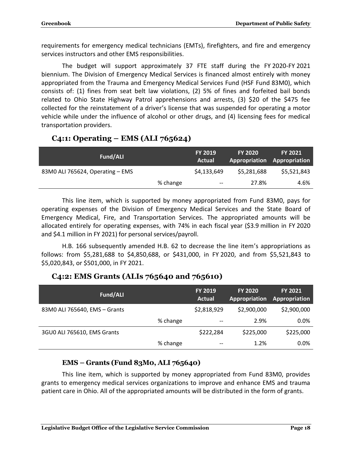requirements for emergency medical technicians (EMTs), firefighters, and fire and emergency services instructors and other EMS responsibilities.

The budget will support approximately 37 FTE staff during the FY 2020-FY 2021 biennium. The Division of Emergency Medical Services is financed almost entirely with money appropriated from the Trauma and Emergency Medical Services Fund (HSF Fund 83M0), which consists of: (1) fines from seat belt law violations, (2) 5% of fines and forfeited bail bonds related to Ohio State Highway Patrol apprehensions and arrests, (3) \$20 of the \$475 fee collected for the reinstatement of a driver's license that was suspended for operating a motor vehicle while under the influence of alcohol or other drugs, and (4) licensing fees for medical transportation providers.

## <span id="page-19-0"></span>**C4:1: Operating – EMS (ALI 765624)**

| Fund/ALI                         |          | <b>FY 2019</b><br>Actual | <b>FY 2020</b> | <b>FY 2021</b><br>Appropriation Appropriation |
|----------------------------------|----------|--------------------------|----------------|-----------------------------------------------|
| 83M0 ALI 765624, Operating - EMS |          | \$4,133,649              | \$5,281,688    | \$5,521,843                                   |
|                                  | % change | $\overline{\phantom{m}}$ | 27.8%          | 4.6%                                          |

This line item, which is supported by money appropriated from Fund 83M0, pays for operating expenses of the Division of Emergency Medical Services and the State Board of Emergency Medical, Fire, and Transportation Services. The appropriated amounts will be allocated entirely for operating expenses, with 74% in each fiscal year (\$3.9 million in FY 2020 and \$4.1 million in FY 2021) for personal services/payroll.

H.B. 166 subsequently amended H.B. 62 to decrease the line item's appropriations as follows: from \$5,281,688 to \$4,850,688, or \$431,000, in FY 2020, and from \$5,521,843 to \$5,020,843, or \$501,000, in FY 2021.

## <span id="page-19-1"></span>**C4:2: EMS Grants (ALIs 765640 and 765610)**

| Fund/ALI                      |          | FY 2019<br><b>Actual</b> | <b>FY 2020</b><br>Appropriation | <b>FY 2021</b><br>Appropriation |
|-------------------------------|----------|--------------------------|---------------------------------|---------------------------------|
| 83M0 ALI 765640, EMS - Grants |          | \$2,818,929              | \$2,900,000                     | \$2,900,000                     |
|                               | % change | $- -$                    | 2.9%                            | $0.0\%$                         |
| 3GU0 ALI 765610, EMS Grants   |          | \$222,284                | \$225,000                       | \$225,000                       |
|                               | % change | $- -$                    | 1.2%                            | 0.0%                            |

#### **EMS – Grants (Fund 83M0, ALI 765640)**

This line item, which is supported by money appropriated from Fund 83M0, provides grants to emergency medical services organizations to improve and enhance EMS and trauma patient care in Ohio. All of the appropriated amounts will be distributed in the form of grants.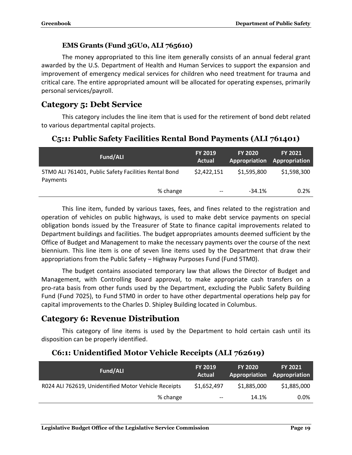#### **EMS Grants (Fund 3GU0, ALI 765610)**

The money appropriated to this line item generally consists of an annual federal grant awarded by the U.S. Department of Health and Human Services to support the expansion and improvement of emergency medical services for children who need treatment for trauma and critical care. The entire appropriated amount will be allocated for operating expenses, primarily personal services/payroll.

## <span id="page-20-0"></span>**Category 5: Debt Service**

This category includes the line item that is used for the retirement of bond debt related to various departmental capital projects.

#### <span id="page-20-1"></span>**C5:1: Public Safety Facilities Rental Bond Payments (ALI 761401)**

| Fund/ALI                                                          | <b>FY 2019</b><br>Actual              | <b>FY 2020</b> | <b>FY 2021</b><br><b>Appropriation Appropriation</b> |
|-------------------------------------------------------------------|---------------------------------------|----------------|------------------------------------------------------|
| 5TM0 ALI 761401, Public Safety Facilities Rental Bond<br>Payments | \$2,422,151                           | \$1,595,800    | \$1,598,300                                          |
| % change                                                          | $\hspace{0.05cm}$ – $\hspace{0.05cm}$ | $-34.1%$       | 0.2%                                                 |

This line item, funded by various taxes, fees, and fines related to the registration and operation of vehicles on public highways, is used to make debt service payments on special obligation bonds issued by the Treasurer of State to finance capital improvements related to Department buildings and facilities. The budget appropriates amounts deemed sufficient by the Office of Budget and Management to make the necessary payments over the course of the next biennium. This line item is one of seven line items used by the Department that draw their appropriations from the Public Safety – Highway Purposes Fund (Fund 5TM0).

The budget contains associated temporary law that allows the Director of Budget and Management, with Controlling Board approval, to make appropriate cash transfers on a pro-rata basis from other funds used by the Department, excluding the Public Safety Building Fund (Fund 7025), to Fund 5TM0 in order to have other departmental operations help pay for capital improvements to the Charles D. Shipley Building located in Columbus.

## <span id="page-20-2"></span>**Category 6: Revenue Distribution**

This category of line items is used by the Department to hold certain cash until its disposition can be properly identified.

#### <span id="page-20-3"></span>**C6:1: Unidentified Motor Vehicle Receipts (ALI 762619)**

| Fund/ALI                                             | <b>FY 2019</b><br>Actual | <b>FY 2020</b><br>Appropriation Appropriation | <b>FY 2021</b> |
|------------------------------------------------------|--------------------------|-----------------------------------------------|----------------|
| R024 ALI 762619, Unidentified Motor Vehicle Receipts | \$1,652,497              | \$1,885,000                                   | \$1,885,000    |
| % change                                             | $- -$                    | 14.1%                                         | $0.0\%$        |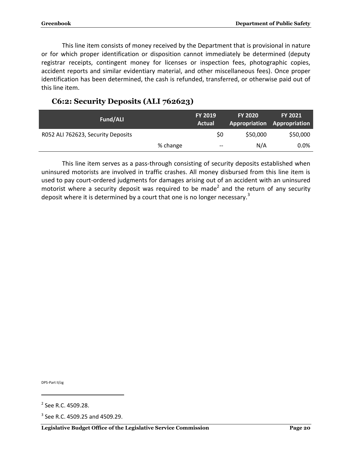This line item consists of money received by the Department that is provisional in nature or for which proper identification or disposition cannot immediately be determined (deputy registrar receipts, contingent money for licenses or inspection fees, photographic copies, accident reports and similar evidentiary material, and other miscellaneous fees). Once proper identification has been determined, the cash is refunded, transferred, or otherwise paid out of this line item.

### <span id="page-21-0"></span>**C6:2: Security Deposits (ALI 762623)**

| Fund/ALI                           |          | <b>FY 2019</b><br>Actual | <b>FY 2020</b><br>Appropriation Appropriation | <b>FY 2021</b> |  |
|------------------------------------|----------|--------------------------|-----------------------------------------------|----------------|--|
| R052 ALI 762623, Security Deposits |          | \$0                      | \$50,000                                      | \$50,000       |  |
|                                    | % change | $--$                     | N/A                                           | 0.0%           |  |

This line item serves as a pass-through consisting of security deposits established when uninsured motorists are involved in traffic crashes. All money disbursed from this line item is used to pay court-ordered judgments for damages arising out of an accident with an uninsured motorist where a security deposit was required to be made<sup>2</sup> and the return of any security deposit where it is determined by a court that one is no longer necessary.<sup>3</sup>

DPS-Part II/zg

 $\overline{a}$ 

<sup>&</sup>lt;sup>2</sup> See R.C. 4509.28.

 $3$  See R.C. 4509.25 and 4509.29.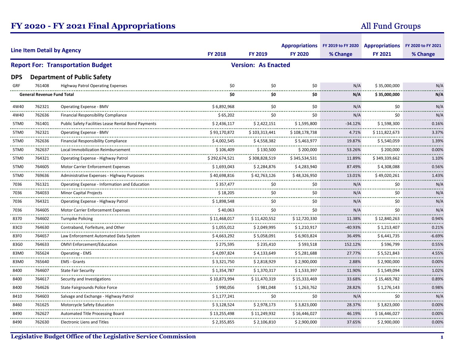## **FY 2020 - FY 2021 Final Appropriations**

## All Fund Groups

| <b>Line Item Detail by Agency</b> |                                   |                                                            |                         |                              | Appropriations FY 2019 to FY 2020 Appropriations FY 2020 to FY 2021 |                    |               |            |
|-----------------------------------|-----------------------------------|------------------------------------------------------------|-------------------------|------------------------------|---------------------------------------------------------------------|--------------------|---------------|------------|
|                                   |                                   | <b>FY 2018</b>                                             | <b>FY 2019</b>          | <b>FY 2020</b>               | % Change                                                            | <b>FY 2021</b>     | % Change      |            |
|                                   |                                   | <b>Report For: Transportation Budget</b>                   |                         | <b>Version: As Enacted</b>   |                                                                     |                    |               |            |
| <b>DPS</b>                        |                                   | <b>Department of Public Safety</b>                         |                         |                              |                                                                     |                    |               |            |
| GRF                               | 761408                            | <b>Highway Patrol Operating Expenses</b>                   | \$0                     | \$0                          | \$0                                                                 | N/A                | \$35,000,000  | N/A        |
|                                   | <b>General Revenue Fund Total</b> |                                                            | \$0                     | \$0                          | \$0                                                                 | N/A                | \$35,000,000  | N/A        |
| 4W40                              | 762321                            | <b>Operating Expense - BMV</b>                             | \$6,892,968             | \$0                          | \$0                                                                 | N/A                | \$0           | N/A        |
| 4W40<br>.                         | 762636                            | <b>Financial Responsibility Compliance</b>                 | \$65,202                | \$0                          | \$0                                                                 | N/A                | \$0           | N/A        |
| 5TM0                              | 761401<br>                        | <b>Public Safety Facilities Lease Rental Bond Payments</b> | \$2,436,117             | \$2,422,151                  | \$1,595,800                                                         | $-34.12%$          | \$1,598,300   | 0.16%      |
| 5TM <sub>0</sub>                  | 762321<br>                        | Operating Expense - BMV                                    | \$93,170,872            | \$103,313,441                | \$108,178,738                                                       | 4.71%<br>.         | \$111,822,673 | 3.37%      |
| .<br>5TM0                         | 762636                            | <b>Financial Responsibility Compliance</b>                 | \$4,002,545             | \$4,558,382                  | \$5,463,977                                                         | 19.87%             | \$5,540,059   | 1.39%      |
| 5TM0                              | 762637<br>-------                 | Local Immobilization Reimbursement                         | \$106,409               | \$130,500                    | \$200,000                                                           | 53.26%             | \$200,000     | 0.00%      |
| <br>5TM0                          | 764321                            | Operating Expense - Highway Patrol                         | \$292,674,521           | \$308,828,519                | \$345,534,531                                                       | 11.89%             | \$349,339,662 | 1.10%      |
| <br>5TM0                          | 764605                            | <b>Motor Carrier Enforcement Expenses</b>                  | \$1,693,043             | \$2,284,876                  | \$4,283,940                                                         | 87.49%             | \$4,308,088   | <br>0.56%  |
| .<br>5TM0                         | <br>769636                        | Administrative Expenses - Highway Purposes                 | <br>\$40,698,816        | \$42,763,126                 | \$48,326,950                                                        | 13.01%             | \$49,020,261  | <br>1.43%  |
| <br>7036                          | 761321                            | Operating Expense - Information and Education              | \$357,477               | \$0                          | \$0                                                                 | N/A                | \$0           | N/A        |
| .<br>7036                         | 764033                            | <b>Minor Capital Projects</b>                              | \$18,205                | \$0                          | \$0                                                                 | N/A                | \$0           | N/A        |
| <br>7036                          | 764321                            | Operating Expense - Highway Patrol                         | \$1.898.548             | \$0                          | \$0                                                                 | N/A                | \$0           | N/A        |
| <br>7036                          | .<br>764605                       | Motor Carrier Enforcement Expenses                         | \$40.063                | \$0                          | \$0                                                                 | N/A                | \$0           | N/A        |
| 8370                              | 764602                            | <b>Turnpike Policing</b>                                   | \$11,468,017            | \$11,420,552                 | \$12,720,330                                                        | 11.38%             | \$12,840,263  | 0.94%      |
| .<br>83C0                         | 764630                            | Contraband, Forfeiture, and Other                          | \$1,055,012             | \$2,049,995                  | \$1,210,917                                                         | $-40.93%$          | \$1,213,407   | 0.21%      |
| 83F0                              | 764657                            | Law Enforcement Automated Data System                      | \$4,663,292             | \$5,058,091                  | \$6,903,824                                                         | 36.49%             | \$6,441,735   | $-6.69%$   |
| .<br>83G0                         | 764633                            | <b>OMVI Enforcement/Education</b>                          | \$275,595               | \$235,410                    | \$593,518                                                           | 152.12%            | \$596,799     | 0.55%      |
| .<br>83M0<br>.                    | 765624                            | <b>Operating - EMS</b>                                     | \$4,097,824             | \$4,133,649                  | \$5,281,688                                                         | 27.77%             | \$5,521,843   | 4.55%      |
| 83M0                              | 765640<br>.                       | <b>EMS - Grants</b><br><u>.</u>                            | \$3,321,750             | \$2,818,929                  | \$2,900,000                                                         | 2.88%<br>.         | \$2,900,000   | 0.00%      |
| <br>8400                          | 764607                            | <b>State Fair Security</b>                                 | \$1.354.787             | \$1,370,317                  | \$1,533,397                                                         | 11.90%             | \$1.549.094   | <br>1.02%  |
| .<br>8400                         | .<br>764617                       | Security and Investigations                                | \$10,873,994            | \$11,470,319                 | \$15,333,469                                                        | .<br>33.68%        | \$15,469,782  | .<br>0.89% |
| .<br>8400                         | .<br>764626                       | State Fairgrounds Police Force                             | \$990,056               | \$981,048                    | \$1,263,762                                                         | <u>.</u><br>28.82% | \$1,276,143   | 0.98%      |
| .<br>8410                         | .<br>764603                       | Salvage and Exchange - Highway Patrol                      | \$1,177,241             | \$0                          | \$0                                                                 | N/A                | \$0           | N/A        |
| <br>8460                          | .<br>761625                       | Motorcycle Safety Education                                | <u>.</u><br>\$3,128,524 | $- - - - - -$<br>\$2,978,173 | \$3,823,000                                                         | <u>.</u><br>28.37% | \$3,823,000   | 0.00%      |
| 8490                              | <br>762627                        | Automated Title Processing Board                           | \$13,255,498            | \$11,249,932                 | \$16,446,027                                                        | .<br>46.19%        | \$16,446,027  | 0.00%      |
| 8490                              | 762630                            | <b>Electronic Liens and Titles</b>                         | \$2,355,855             | \$2,106,810                  | \$2,900,000                                                         | 37.65%             | \$2,900,000   | 0.00%      |
|                                   |                                   |                                                            |                         |                              |                                                                     |                    |               |            |